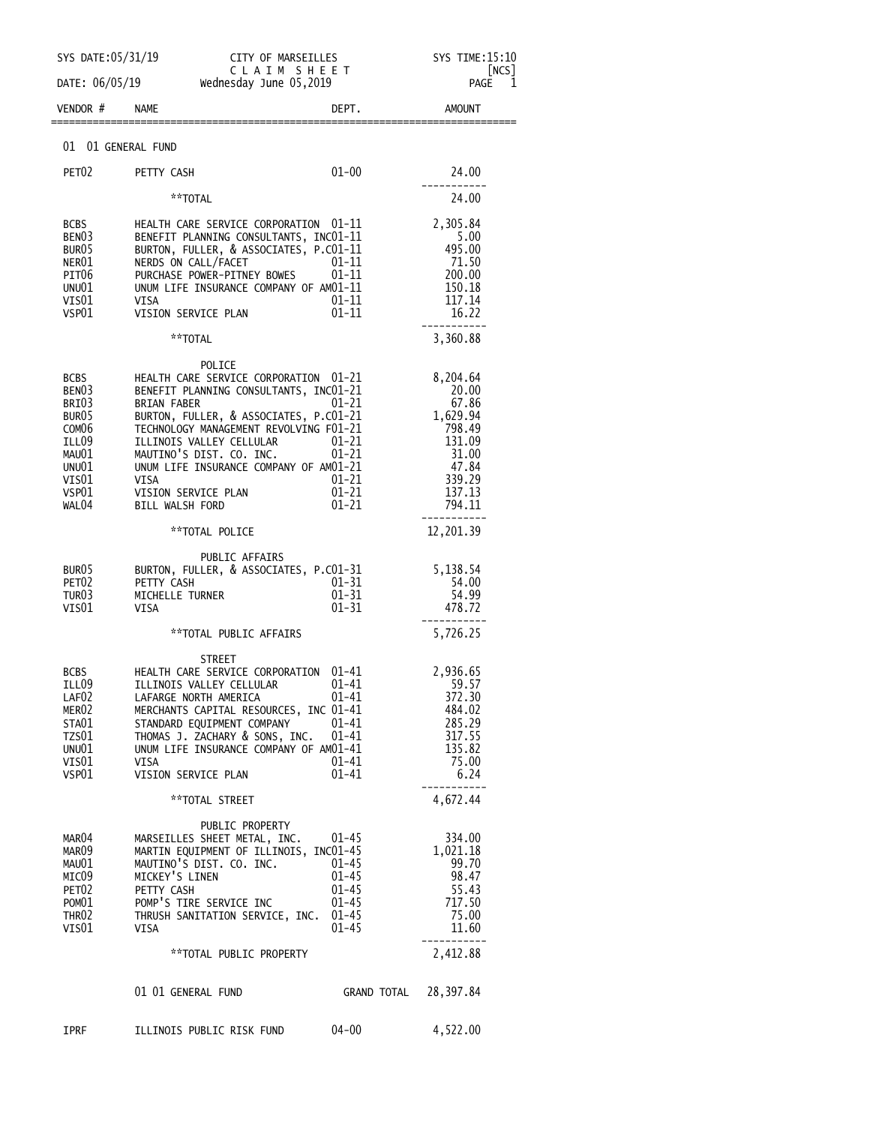|                                                                                                                                           | SYS DATE: 05/31/19<br>CITY OF MARSEILLES<br>CLAIM SHEET                                                                                                                                                                                                                                                                                                        |                                                                            | SYS TIME: 15:10<br> NCS                                                                                    |
|-------------------------------------------------------------------------------------------------------------------------------------------|----------------------------------------------------------------------------------------------------------------------------------------------------------------------------------------------------------------------------------------------------------------------------------------------------------------------------------------------------------------|----------------------------------------------------------------------------|------------------------------------------------------------------------------------------------------------|
| DATE: 06/05/19<br>VENDOR #                                                                                                                | Wednesday June 05,2019<br><b>NAME</b>                                                                                                                                                                                                                                                                                                                          | DEPT.                                                                      | PAGE<br>1<br><b>AMOUNT</b>                                                                                 |
|                                                                                                                                           |                                                                                                                                                                                                                                                                                                                                                                |                                                                            |                                                                                                            |
| 01 01 GENERAL FUND                                                                                                                        |                                                                                                                                                                                                                                                                                                                                                                |                                                                            |                                                                                                            |
| PET <sub>02</sub>                                                                                                                         | PETTY CASH                                                                                                                                                                                                                                                                                                                                                     | $01 - 00$                                                                  | 24.00                                                                                                      |
|                                                                                                                                           | **TOTAL                                                                                                                                                                                                                                                                                                                                                        |                                                                            | 24.00                                                                                                      |
| <b>BCBS</b><br>BEN <sub>03</sub><br>BUR <sub>05</sub><br>NER01<br>PIT06<br>UNU01<br>VIS01<br>VSP01                                        | HEALTH CARE SERVICE CORPORATION 01-11<br>BENEFIT PLANNING CONSULTANTS, INC01-11<br>BURTON, FULLER, & ASSOCIATES, P.CO1-11<br>NERDS ON CALL/FACET<br>PURCHASE POWER-PITNEY BOWES<br>UNUM LIFE INSURANCE COMPANY OF AM01-11<br><b>VISA</b><br>VISION SERVICE PLAN                                                                                                | 01-11<br>01-11<br>$01 - 11$<br>$01 - 11$                                   | 2,305.84<br>5.00<br>495.00<br>71.50<br>200.00<br>150.18<br>117.14<br>16.22                                 |
|                                                                                                                                           | **TOTAL                                                                                                                                                                                                                                                                                                                                                        |                                                                            | 3,360.88                                                                                                   |
| <b>BCBS</b><br>BEN <sub>03</sub><br>BRI03<br>BUR <sub>05</sub><br>COM <sub>06</sub><br>ILL09<br>MAU01<br>UNU01<br>VIS01<br>VSP01<br>WAL04 | POLICE<br>HEALTH CARE SERVICE CORPORATION 01-21<br>BENEFIT PLANNING CONSULTANTS, INC01-21<br><b>BRIAN FABER</b><br>BURTON, FULLER, & ASSOCIATES, P.CO1-21<br>TECHNOLOGY MANAGEMENT REVOLVING F01-21<br>ILLINOIS VALLEY CELLULAR<br>MAUTINO'S DIST. CO. INC.<br>UNUM LIFE INSURANCE COMPANY OF AM01-21<br><b>VISA</b><br>VISION SERVICE PLAN<br>BILL WALSH FORD | $01 - 21$<br>$01 - 21$<br>$01 - 21$<br>$01 - 21$<br>$01 - 21$<br>$01 - 21$ | 8,204.64<br>20.00<br>67.86<br>1,629.94<br>798.49<br>131.09<br>31.00<br>47.84<br>339.29<br>137.13<br>794.11 |
|                                                                                                                                           | **TOTAL POLICE                                                                                                                                                                                                                                                                                                                                                 |                                                                            | 12,201.39                                                                                                  |
| BUR <sub>05</sub><br>PET <sub>02</sub><br>TUR03<br>VIS <sub>01</sub>                                                                      | PUBLIC AFFAIRS<br>BURTON, FULLER, & ASSOCIATES, P.CO1-31<br>PETTY CASH<br>MICHELLE TURNER<br>VISA                                                                                                                                                                                                                                                              | $01 - 31$<br>$01 - 31$<br>$01 - 31$                                        | 5,138.54<br>54.00<br>54.99<br>478.72                                                                       |
|                                                                                                                                           | **TOTAL PUBLIC AFFAIRS                                                                                                                                                                                                                                                                                                                                         |                                                                            | 5,726.25                                                                                                   |
| <b>BCBS</b><br>ILL09<br>LAF02<br>MERO2<br>STA01<br>TZS01<br>UNU01<br>VIS $01$<br>VSP01                                                    | STREET<br>HEALTH CARE SERVICE CORPORATION<br>ILLINOIS VALLEY CELLULAR<br>LAFARGE NORTH AMERICA<br>MERCHANTS CAPITAL RESOURCES, INC 01-41<br>STANDARD EQUIPMENT COMPANY 01-41<br>THOMAS J. ZACHARY & SONS, INC. 01-41<br>UNUM LIFE INSURANCE COMPANY OF AM01-41<br>VISA<br>VISION SERVICE PLAN                                                                  | 01-41<br>01-41<br>01-41<br>01–41<br>01-41                                  | 2,936.65<br>59.57<br>372.30<br>484.02<br>285.29<br>317.55<br>135.82<br>75.00<br>6.24                       |
|                                                                                                                                           | **TOTAL STREET                                                                                                                                                                                                                                                                                                                                                 |                                                                            | 4,672.44                                                                                                   |
| MAR04<br>MAR09<br>MAU01<br>MICO9<br>PET02<br>POM01<br>THR02<br>VIS01                                                                      | PUBLIC PROPERTY<br>MARSEILLES SHEET METAL, INC. 01-45<br>MARTIN EQUIPMENT OF ILLINOIS, INCO1-45<br>MAUTINO'S DIST. CO. INC.<br>MICKEY'S LINEN<br>PETTY CASH<br>POMP'S TIRE SERVICE INC<br>THRUSH SANITATION SERVICE, INC. 01-45<br>VISA                                                                                                                        | 01–45<br>01–45<br>$01 - 45$<br>$01 - 45$<br>$01 - 45$                      | 334.00<br>1,021.18<br>99.70<br>98.47<br>55.43<br>717.50<br>75.00<br>11.60                                  |
|                                                                                                                                           | **TOTAL PUBLIC PROPERTY                                                                                                                                                                                                                                                                                                                                        |                                                                            | 2,412.88                                                                                                   |
|                                                                                                                                           | 01 01 GENERAL FUND                                                                                                                                                                                                                                                                                                                                             | GRAND TOTAL 28,397.84                                                      |                                                                                                            |
| <b>IPRF</b>                                                                                                                               | ILLINOIS PUBLIC RISK FUND                                                                                                                                                                                                                                                                                                                                      | $04 - 00$                                                                  | 4,522.00                                                                                                   |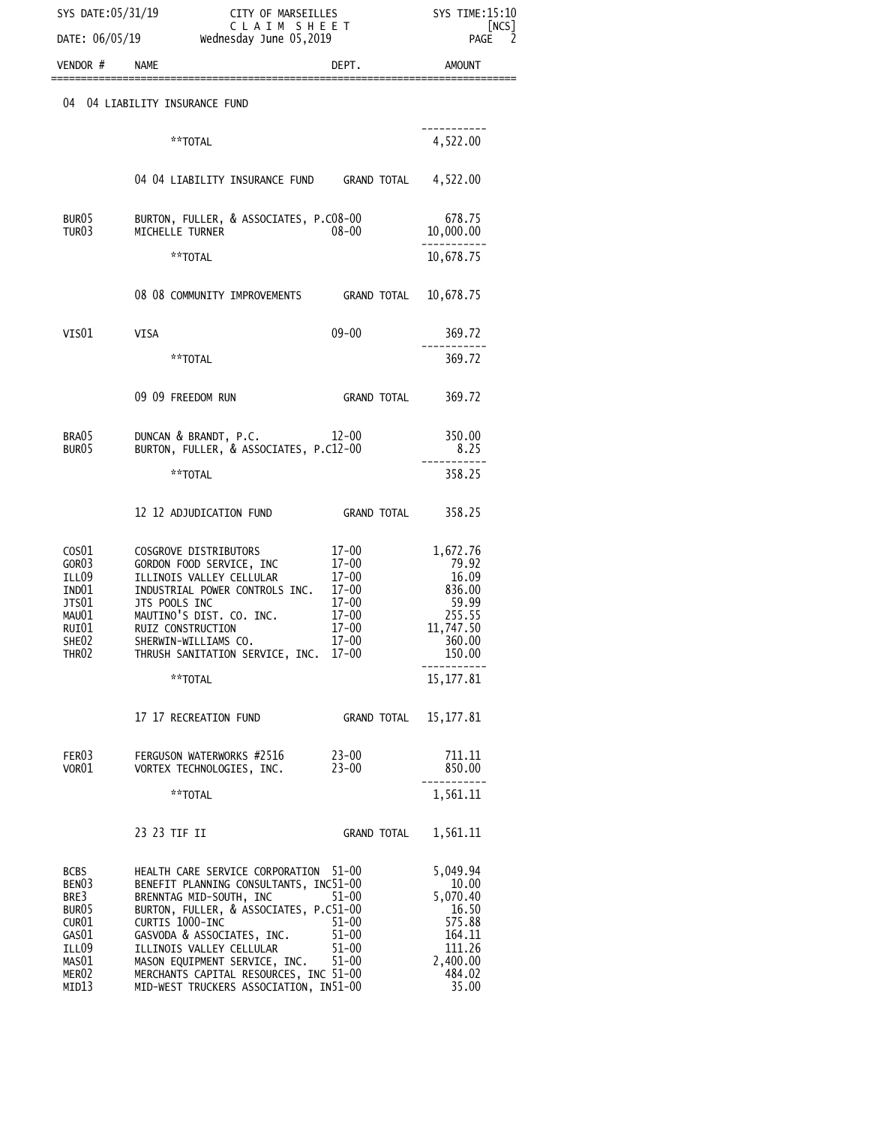|                                                                                                                     | SYS DATE:05/31/19                                                                                                                                                                                                                                                                                                                                | CITY OF MARSEILLES<br>SYS TIME:15:10<br>CLAIM SHEET<br>DATE: $06/05/19$ Wednesday June $05,2019$ |                                                                                                     |
|---------------------------------------------------------------------------------------------------------------------|--------------------------------------------------------------------------------------------------------------------------------------------------------------------------------------------------------------------------------------------------------------------------------------------------------------------------------------------------|--------------------------------------------------------------------------------------------------|-----------------------------------------------------------------------------------------------------|
| VENDOR #                                                                                                            | <b>NAME</b>                                                                                                                                                                                                                                                                                                                                      | DEPT.                                                                                            | PAGE<br>2<br>AMOUNT                                                                                 |
| 04                                                                                                                  | 04 LIABILITY INSURANCE FUND                                                                                                                                                                                                                                                                                                                      |                                                                                                  |                                                                                                     |
|                                                                                                                     | **TOTAL                                                                                                                                                                                                                                                                                                                                          |                                                                                                  | 4,522.00                                                                                            |
|                                                                                                                     | 04 04 LIABILITY INSURANCE FUND GRAND TOTAL 4,522.00                                                                                                                                                                                                                                                                                              |                                                                                                  |                                                                                                     |
| BUR05<br>TUR03                                                                                                      | BURTON, FULLER, & ASSOCIATES, P.CO8-00<br>MICHELLE TURNER                                                                                                                                                                                                                                                                                        | 08-00                                                                                            | 678.75<br>10,000.00                                                                                 |
|                                                                                                                     | **TOTAL                                                                                                                                                                                                                                                                                                                                          |                                                                                                  | 10,678.75                                                                                           |
|                                                                                                                     | 08 08 COMMUNITY IMPROVEMENTS GRAND TOTAL 10,678.75                                                                                                                                                                                                                                                                                               |                                                                                                  |                                                                                                     |
| VIS $01$                                                                                                            | VISA                                                                                                                                                                                                                                                                                                                                             | $09 - 00$                                                                                        | 369.72                                                                                              |
|                                                                                                                     | **TOTAL                                                                                                                                                                                                                                                                                                                                          |                                                                                                  | 369.72                                                                                              |
|                                                                                                                     | 09 09 FREEDOM RUN                                                                                                                                                                                                                                                                                                                                | GRAND TOTAL                                                                                      | 369.72                                                                                              |
| BRA05<br>BUR05                                                                                                      | DUNCAN & BRANDT, P.C. 12-00<br>BURTON, FULLER, & ASSOCIATES, P.C12-00                                                                                                                                                                                                                                                                            |                                                                                                  | 350.00<br>8.25                                                                                      |
|                                                                                                                     | **TOTAL                                                                                                                                                                                                                                                                                                                                          |                                                                                                  | 358.25                                                                                              |
|                                                                                                                     | 12 12 ADJUDICATION FUND                                                                                                                                                                                                                                                                                                                          |                                                                                                  |                                                                                                     |
| $\cos 01$<br>GOR03<br>ILL09<br>IND01<br>JTS01<br>MAU01<br>RUI01<br>SHE02<br>THR02                                   | COSGROVE DISTRIBUTORS<br>GORDON FOOD SERVICE, INC<br>ILLINOIS VALLEY CELLULAR<br>INDUSTRIAL POWER CONTROLS INC.<br>JTS POOLS INC<br>MAUTINO'S DIST. CO. INC.<br>RUIZ CONSTRUCTION<br>SHERWIN-WILLIAMS CO.<br>THRUSH SANITATION SERVICE, INC. 17-00                                                                                               | $17 - 00$<br>$17 - 00$<br>$17-00$<br>$17 - 00$<br>$17 - 00$<br>$17 - 00$<br>$17 - 00$<br>17-00   | 1,672.76<br>79.92<br>16.09<br>836.00<br>59.99<br>255.55<br>11,747.50<br>360.00<br>150.00            |
|                                                                                                                     | **TOTAL                                                                                                                                                                                                                                                                                                                                          |                                                                                                  | 15, 177.81                                                                                          |
|                                                                                                                     | 17 17 RECREATION FUND                                                                                                                                                                                                                                                                                                                            | GRAND TOTAL                                                                                      | 15, 177.81                                                                                          |
| FER03<br>VOR01                                                                                                      | FERGUSON WATERWORKS #2516<br>VORTEX TECHNOLOGIES, INC.                                                                                                                                                                                                                                                                                           | $23 - 00$<br>$23 - 00$                                                                           | 711.11<br>850.00                                                                                    |
|                                                                                                                     | **TOTAL                                                                                                                                                                                                                                                                                                                                          |                                                                                                  | 1,561.11                                                                                            |
|                                                                                                                     | 23 23 TIF II                                                                                                                                                                                                                                                                                                                                     | GRAND TOTAL                                                                                      | 1,561.11                                                                                            |
| <b>BCBS</b><br>BENO3<br>BRE3<br>BUR <sub>05</sub><br>CUR01<br>GAS01<br>ILL09<br>MAS01<br>MER <sub>02</sub><br>MID13 | HEALTH CARE SERVICE CORPORATION<br>BENEFIT PLANNING CONSULTANTS, INC51-00<br>BRENNTAG MID-SOUTH, INC<br>BURTON, FULLER, & ASSOCIATES, P.C51-00<br>CURTIS 1000-INC<br>GASVODA & ASSOCIATES, INC.<br>ILLINOIS VALLEY CELLULAR<br>MASON EQUIPMENT SERVICE, INC.<br>MERCHANTS CAPITAL RESOURCES, INC 51-00<br>MID-WEST TRUCKERS ASSOCIATION, IN51-00 | 51-00<br>$51 - 00$<br>$51 - 00$<br>$51 - 00$<br>$51 - 00$<br>$51 - 00$                           | 5,049.94<br>10.00<br>5,070.40<br>16.50<br>575.88<br>164.11<br>111.26<br>2,400.00<br>484.02<br>35.00 |